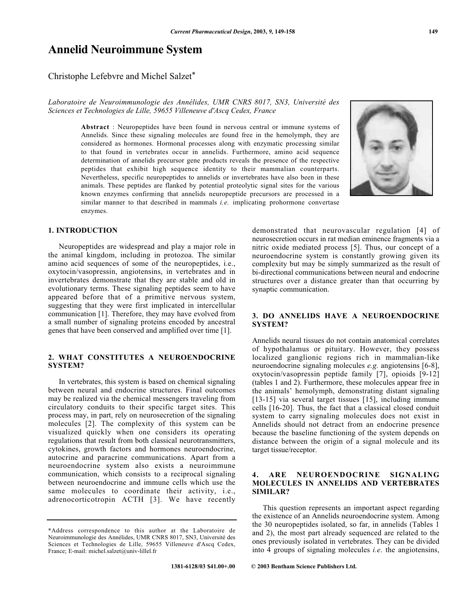# **Annelid Neuroimmune System**

Christophe Lefebvre and Michel Salzet\*

# *Laboratoire de Neuroimmunologie des Annélides, UMR CNRS 8017, SN3, Université des Sciences et Technologies de Lille, 59655 Villeneuve d'Ascq Cedex, France*

**Abstract** : Neuropeptides have been found in nervous central or immune systems of Annelids. Since these signaling molecules are found free in the hemolymph, they are considered as hormones. Hormonal processes along with enzymatic processing similar to that found in vertebrates occur in annelids. Furthermore, amino acid sequence determination of annelids precursor gene products reveals the presence of the respective peptides that exhibit high sequence identity to their mammalian counterparts. Nevertheless, specific neuropeptides to annelids or invertebrates have also been in these animals. These peptides are flanked by potential proteolytic signal sites for the various known enzymes confirming that annelids neuropeptide precursors are processed in a similar manner to that described in mammals *i.e.* implicating prohormone convertase enzymes.



# **1. INTRODUCTION**

Neuropeptides are widespread and play a major role in the animal kingdom, including in protozoa. The similar amino acid sequences of some of the neuropeptides, i.e., oxytocin/vasopressin, angiotensins, in vertebrates and in invertebrates demonstrate that they are stable and old in evolutionary terms. These signaling peptides seem to have appeared before that of a primitive nervous system, suggesting that they were first implicated in intercellular communication [1]. Therefore, they may have evolved from a small number of signaling proteins encoded by ancestral genes that have been conserved and amplified over time [1].

# **2. WHAT CONSTITUTES A NEUROENDOCRINE SYSTEM?**

In vertebrates, this system is based on chemical signaling between neural and endocrine structures. Final outcomes may be realized via the chemical messengers traveling from circulatory conduits to their specific target sites. This process may, in part, rely on neurosecretion of the signaling molecules [2]. The complexity of this system can be visualized quickly when one considers its operating regulations that result from both classical neurotransmitters, cytokines, growth factors and hormones neuroendocrine, autocrine and paracrine communications. Apart from a neuroendocrine system also exists a neuroimmune communication, which consists to a reciprocal signaling between neuroendocrine and immune cells which use the same molecules to coordinate their activity, i.e., adrenocorticotropin ACTH [3]. We have recently

neurosecretion occurs in rat median eminence fragments via a nitric oxide mediated process [5]. Thus, our concept of a neuroendocrine system is constantly growing given its complexity but may be simply summarized as the result of bi-directional communications between neural and endocrine structures over a distance greater than that occurring by synaptic communication.

demonstrated that neurovascular regulation [4] of

# **3. DO ANNELIDS HAVE A NEUROENDOCRINE SYSTEM?**

Annelids neural tissues do not contain anatomical correlates of hypothalamus or pituitary. However, they possess localized ganglionic regions rich in mammalian-like neuroendocrine signaling molecules *e.g.* angiotensins [6-8], oxytocin/vasopressin peptide family [7], opioids [9-12] (tables 1 and 2). Furthermore, these molecules appear free in the animals' hemolymph, demonstrating distant signaling [13-15] via several target tissues [15], including immune cells [16-20]. Thus, the fact that a classical closed conduit system to carry signaling molecules does not exist in Annelids should not detract from an endocrine presence because the baseline functioning of the system depends on distance between the origin of a signal molecule and its target tissue/receptor.

# **4. ARE NEUROENDOCRINE SIGNALING MOLECULES IN ANNELIDS AND VERTEBRATES SIMILAR?**

This question represents an important aspect regarding the existence of an Annelids neuroendocrine system. Among the 30 neuropeptides isolated, so far, in annelids (Tables 1 and 2), the most part already sequenced are related to the ones previously isolated in vertebrates. They can be divided into 4 groups of signaling molecules *i.e*. the angiotensins,

<sup>\*</sup>Address correspondence to this author at the Laboratoire de Neuroimmunologie des Annélides, UMR CNRS 8017, SN3, Université des Sciences et Technologies de Lille, 59655 Villeneuve d'Ascq Cedex, France; E-mail: michel.salzet@univ-lillel.fr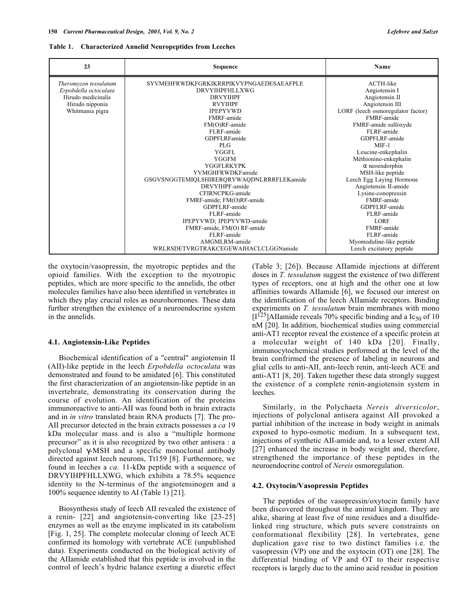#### **Table 1. Characterized Annelid Neuropeptides from Leeches**

| 23                                      | Sequence                                  | Name                                                 |
|-----------------------------------------|-------------------------------------------|------------------------------------------------------|
| Theromyzon tessulatum                   | SYVMEHFRWDKFGRKIKRRPIKVYPNGAEDESAEAFPLE   | ACTH-like                                            |
| Erpobdella octoculata<br>DRVYIHPFHLLXWG |                                           | Angiotensin I                                        |
| Hirudo medicinalis                      | <b>DRVYIHPF</b>                           |                                                      |
| Hirudo nipponia                         | <b>RVYIHPF</b>                            |                                                      |
| Whitmania pigra                         | <b>IPEPYVWD</b>                           | Angiotensin III<br>LORF (leech osmoregulator factor) |
|                                         | FMRF-amide                                | FMRF-amide                                           |
|                                         | FM(O)RF-amide                             | FMRF-amide sulfoxyde                                 |
|                                         | FLRF-amide                                | FLRF-amide                                           |
|                                         | <b>GDPFLRFamide</b>                       | GDPFLRF-amide                                        |
|                                         | PI.G                                      | $MIF-1$                                              |
|                                         | <b>YGGFL</b>                              | Leucine-enkephalin                                   |
|                                         | <b>YGGFM</b>                              | Méthionine-enkephalin                                |
|                                         | YGGFLRKYPK                                | $\alpha$ neoendorphin                                |
|                                         | YVMGHFRWDKFamide                          | MSH-like peptide                                     |
|                                         | GSGVSNGGTEMIQLSHIRERQRYWAQDNLRRRFLEKamide | Leech Egg Laying Hormone                             |
|                                         | DRVYIHPF-amide                            | Angiotensin II-amide                                 |
|                                         | CFIRNCPKG-amide                           | Lysine-conopressin                                   |
|                                         | FMRF-amide; FM(O)RF-amide                 | FMRF-amide                                           |
|                                         | GDPFLRF-amide                             | GDPFLRF-amide                                        |
|                                         | FLRF-amide                                | FLRF-amide                                           |
|                                         | IPEPYVWD; IPEPYVWD-amide                  | <b>LORF</b>                                          |
|                                         | FMRF-amide, FM(O) RF-amide                | FMRF-amide                                           |
|                                         | FLRF-amide                                | FLRF-amide                                           |
|                                         | AMGMLRM-amide                             | Myomoduline-like peptide                             |
|                                         | WRLRSDETVRGTRAKCEGEWAIHACLCLGGNamide      | Leech excitatory peptide                             |

the oxytocin/vasopressin, the myotropic peptides and the opioid families. With the exception to the myotropic peptides, which are more specific to the annelids, the other molecules families have also been identified in vertebrates in which they play crucial roles as neurohormones. These data further strengthen the existence of a neuroendocrine system in the annelids.

#### **4.1. Angiotensin-Like Peptides**

Biochemical identification of a "central" angiotensin II (AII)-like peptide in the leech *Erpobdella octoculata* was demonstrated and found to be amidated [6]. This constituted the first characterization of an angiotensin-like peptide in an invertebrate, demonstrating its conservation during the course of evolution. An identification of the proteins immunoreactive to anti-AII was found both in brain extracts and in *in vitro* translated brain RNA products [7]. The pro-AII precursor detected in the brain extracts possesses a *ca* 19 kDa molecular mass and is also a "multiple hormone precursor" as it is also recognized by two other antisera : a polyclonal γ-MSH and a specific monoclonal antibody directed against leech neurons, Tt159 [8]. Furthermore, we found in leeches a *ca.* 11-kDa peptide with a sequence of DRVYIHPFHLLXWG, which exhibits a 78.5% sequence identity to the N-terminus of the angiotensinogen and a 100% sequence identity to AI (Table 1) [21].

Biosynthesis study of leech AII revealed the existence of a renin- [22] and angiotensin-converting like [23-25] enzymes as well as the enzyme implicated in its catabolism [Fig. 1, 25]. The complete molecular cloning of leech ACE confirmed its homology with vertebrate ACE (unpublished data). Experiments conducted on the biological activity of the AIIamide established that this peptide is involved in the control of leech's hydric balance exerting a diuretic effect

(Table 3; [26]). Because AIIamide injections at different doses in *T. tessulatum* suggest the existence of two different types of receptors, one at high and the other one at low affinities towards AIIamide [6], we focused our interest on the identification of the leech AIIamide receptors. Binding experiments on *T. tessulatum* brain membranes with mono  $[I^{125}]$ AIIamide reveals 70% specific binding and a Ic<sub>50</sub> of 10 nM [20]. In addition, biochemical studies using commercial anti-AT1 receptor reveal the existence of a specific protein at a molecular weight of 140 kDa [20]. Finally, immunocytochemical studies performed at the level of the brain confrirmed the presence of labeling in neurons and glial cells to anti-AII, anti-leech renin, anti-leech ACE and anti-AT1 [8, 20]. Taken together these data strongly suggest the existence of a complete renin-angiotensin system in leeches.

Similarly, in the Polychaeta *Nereis diversicolor*, injections of polyclonal antisera against AII provoked a partial inhibition of the increase in body weight in animals exposed to hypo-osmotic medium. In a subsequent test, injections of synthetic AII-amide and, to a lesser extent AII [27] enhanced the increase in body weight and, therefore, strengthened the importance of these peptides in the neuroendocrine control of *Nereis* osmoregulation.

#### **4.2. Oxytocin/Vasopressin Peptides**

The peptides of the vasopressin/oxytocin family have been discovered throughout the animal kingdom. They are alike, sharing at least five of nine residues and a disulfidelinked ring structure, which puts severe constraints on conformational flexibility [28]. In vertebrates, gene duplication gave rise to two distinct families i.e. the vasopressin (VP) one and the oxytocin (OT) one [28]. The differential binding of VP and OT to their respective receptors is largely due to the amino acid residue in position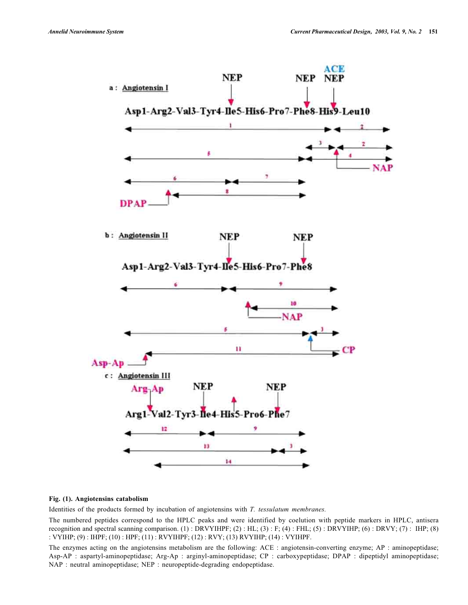

# **Fig. (1). Angiotensins catabolism**

Identities of the products formed by incubation of angiotensins with *T. tessulatum membranes.*

The numbered peptides correspond to the HPLC peaks and were identified by coelution with peptide markers in HPLC, antisera recognition and spectral scanning comparison. (1) : DRVYIHPF; (2) : HL; (3) : F; (4) : FHL; (5) : DRVYIHP; (6) : DRVY; (7) : IHP; (8) : VYIHP; (9) : IHPF; (10) : HPF; (11) : RVYIHPF; (12) : RVY; (13) RVYIHP; (14) : VYIHPF.

The enzymes acting on the angiotensins metabolism are the following: ACE : angiotensin-converting enzyme; AP : aminopeptidase; Asp-AP : aspartyl-aminopeptidase; Arg-Ap : arginyl-aminopeptidase; CP : carboxypeptidase; DPAP : dipeptidyl aminopeptidase; NAP : neutral aminopeptidase; NEP : neuropeptide-degrading endopeptidase.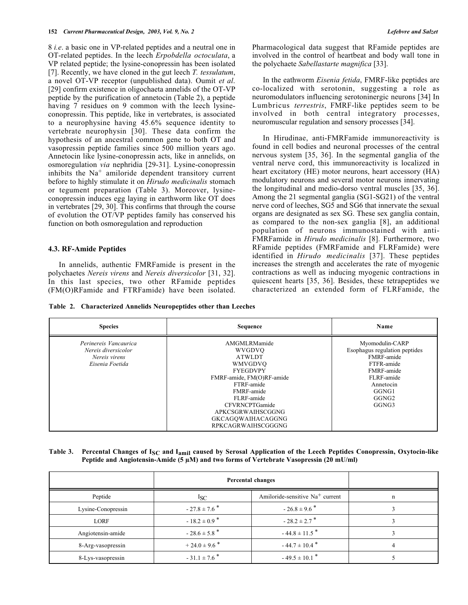8 *i.e*. a basic one in VP-related peptides and a neutral one in OT-related peptides. In the leech *Erpobdella octoculata*, a VP related peptide; the lysine-conopressin has been isolated [7]. Recently, we have cloned in the gut leech *T. tessulatum*, a novel OT-VP receptor (unpublished data). Oumit *et al*. [29] confirm existence in oligochaeta annelids of the OT-VP peptide by the purification of annetocin (Table 2), a peptide having 7 residues on 9 common with the leech lysineconopressin. This peptide, like in vertebrates, is associated to a neurophysine having 45.6% sequence identity to vertebrate neurophysin [30]. These data confirm the hypothesis of an ancestral common gene to both OT and vasopressin peptide families since 500 million years ago. Annetocin like lysine-conopressin acts, like in annelids, on osmoregulation *via* nephridia [29-31]. Lysine-conopressin inhibits the  $Na<sup>+</sup>$  amiloride dependent transitory current before to highly stimulate it on *Hirudo medicinalis* stomach or tegument preparation (Table 3). Moreover, lysineconopressin induces egg laying in earthworm like OT does in vertebrates [29, 30]. This confirms that through the course of evolution the OT/VP peptides family has conserved his function on both osmoregulation and reproduction

#### **4.3. RF-Amide Peptides**

In annelids, authentic FMRFamide is present in the polychaetes *Nereis virens* and *Nereis diversicolor* [31, 32]. In this last species, two other RFamide peptides (FM(O)RFamide and FTRFamide) have been isolated. Pharmacological data suggest that RFamide peptides are involved in the control of heartbeat and body wall tone in the polychaete *Sabellastarte magnifica* [33].

In the eathworm *Eisenia fetida*, FMRF-like peptides are co-localized with serotonin, suggesting a role as neuromodulators influencing serotoninergic neurons [34] In Lumbricus *terrestris*, FMRF-like peptides seem to be involved in both central integratory processes, neuromuscular regulation and sensory processes [34].

In Hirudinae, anti-FMRFamide immunoreactivity is found in cell bodies and neuronal processes of the central nervous system [35, 36]. In the segmental ganglia of the ventral nerve cord, this immunoreactivity is localized in heart excitatory (HE) motor neurons, heart accessory (HA) modulatory neurons and several motor neurons innervating the longitudinal and medio-dorso ventral muscles [35, 36]. Among the 21 segmental ganglia (SG1-SG21) of the ventral nerve cord of leeches, SG5 and SG6 that innervate the sexual organs are designated as sex SG. These sex ganglia contain, as compared to the non-sex ganglia [8], an additional population of neurons immunostained with anti-FMRFamide in *Hirudo medicinalis* [8]. Furthermore, two RFamide peptides (FMRFamide and FLRFamide) were identified in *Hirudo medicinalis* [37]. These peptides increases the strength and accelerates the rate of myogenic contractions as well as inducing myogenic contractions in quiescent hearts [35, 36]. Besides, these tetrapeptides we characterized an extended form of FLRFamide, the

**Table 2. Characterized Annelids Neuropeptides other than Leeches**

| <b>Species</b>                                                                   | Sequence                                                                                                                                                                                                                              | Name                                                                                                                                                         |
|----------------------------------------------------------------------------------|---------------------------------------------------------------------------------------------------------------------------------------------------------------------------------------------------------------------------------------|--------------------------------------------------------------------------------------------------------------------------------------------------------------|
| Perinereis Vancaurica<br>Nereis diversicolor<br>Nereis virens<br>Eisenia Foetida | AMGMLRMamide<br>WVGDVO<br><b>ATWLDT</b><br>WMVGDVO<br><b>FYEGDVPY</b><br>FMRF-amide, FM(O)RF-amide<br>FTRF-amide<br>FMRF-amide<br>FLRF-amide<br>CFVRNCPTGamide<br>APKCSGRWAIHSCGGNG<br>GKCAGQWAIHACAGGNG<br><b>RPKCAGRWAIHSCGGGNG</b> | Myomodulin-CARP<br>Esophagus regulation peptides<br>FMRF-amide<br>FTFR-amide<br>FMRF-amide<br>FLRF-amide<br>Annetocin<br>GGNG1<br>GGNG <sub>2</sub><br>GGNG3 |

| Table 3. Percental Changes of $I_{SC}$ and $I_{amil}$ caused by Serosal Application of the Leech Peptides Conopressin, Oxytocin-like |
|--------------------------------------------------------------------------------------------------------------------------------------|
| Peptide and Angiotensin-Amide (5 $\mu$ M) and two forms of Vertebrate Vasopressin (20 mU/ml)                                         |

|                    | Percental changes            |                                   |  |
|--------------------|------------------------------|-----------------------------------|--|
| Peptide            | $I_{SC}$                     | Amiloride-sensitive $Na+$ current |  |
| Lysine-Conopressin | $-27.8 \pm 7.6$ <sup>*</sup> | $-26.8 \pm 9.6$ <sup>*</sup>      |  |
| LORF               | $-18.2 \pm 0.9$ <sup>*</sup> | $-28.2 \pm 2.7$ <sup>*</sup>      |  |
| Angiotensin-amide  | $-28.6 \pm 5.8$ <sup>*</sup> | $-44.8 \pm 11.5$ <sup>*</sup>     |  |
| 8-Arg-vasopressin  | $+24.0 \pm 9.6$ <sup>*</sup> | $-44.7 \pm 10.4$ <sup>*</sup>     |  |
| 8-Lys-vasopressin  | $-31.1 \pm 7.6$ <sup>*</sup> | $-49.5 \pm 10.1$ <sup>*</sup>     |  |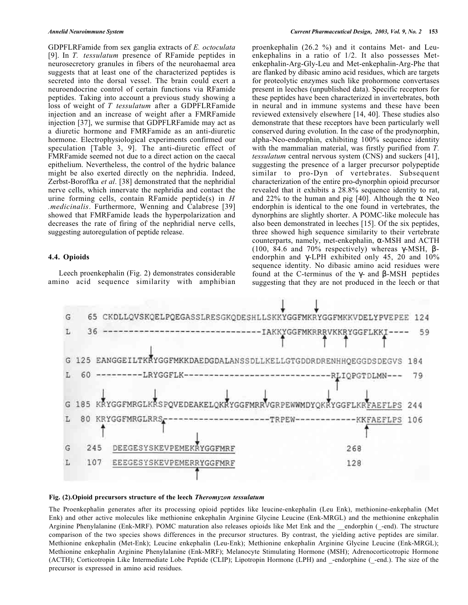GDPFLRFamide from sex ganglia extracts of *E. octoculata* [9]. In *T. tessulatum* presence of RFamide peptides in neurosecretory granules in fibers of the neurohaemal area suggests that at least one of the characterized peptides is secreted into the dorsal vessel. The brain could exert a neuroendocrine control of certain functions via RFamide peptides. Taking into account a previous study showing a loss of weight of *T tessulatum* after a GDPFLRFamide injection and an increase of weight after a FMRFamide injection [37], we surmise that GDPFLRFamide may act as a diuretic hormone and FMRFamide as an anti-diuretic hormone. Electrophysiological experiments confirmed our speculation [Table 3, 9]. The anti-diuretic effect of FMRFamide seemed not due to a direct action on the caecal epithelium. Nevertheless, the control of the hydric balance might be also exerted directly on the nephridia. Indeed, Zerbst-Boroffka *et al*. [38] demonstrated that the nephridial nerve cells, which innervate the nephridia and contact the urine forming cells, contain RFamide peptide(s) in *H .medicinalis*. Furthermore, Wenning and Calabrese [39] showed that FMRFamide leads the hyperpolarization and decreases the rate of firing of the nephridial nerve cells, suggesting autoregulation of peptide release.

# **4.4. Opioids**

Leech proenkephalin (Fig. 2) demonstrates considerable amino acid sequence similarity with amphibian proenkephalin (26.2 %) and it contains Met- and Leuenkephalins in a ratio of 1/2. It also possesses Metenkephalin-Arg-Gly-Leu and Met-enkephalin-Arg-Phe that are flanked by dibasic amino acid residues, which are targets for proteolytic enzymes such like prohormone convertases present in leeches (unpublished data). Specific receptors for these peptides have been characterized in invertebrates, both in neural and in immune systems and these have been reviewed extensively elsewhere [14, 40]. These studies also demonstrate that these receptors have been particularly well conserved during evolution. In the case of the prodynorphin, alpha-Neo-endorphin, exhibiting 100% sequence identity with the mammalian material, was firstly purified from *T. tessulatum* central nervous system (CNS) and suckers [41], suggesting the presence of a larger precursor polypeptide similar to pro-Dyn of vertebrates. Subsequent characterization of the entire pro-dynorphin opioid precursor revealed that it exhibits a 28.8% sequence identity to rat, and 22% to the human and pig [40]. Although the  $\alpha$  Neo endorphin is identical to the one found in vertebrates, the dynorphins are slightly shorter. A POMC-like molecule has also been demonstrated in leeches [15]. Of the six peptides, three showed high sequence similarity to their vertebrate counterparts, namely, met-enkephalin, α-MSH and ACTH (100, 84.6 and 70% respectively) whereas γ-MSH, βendorphin and γ-LPH exhibited only 45, 20 and 10% sequence identity. No dibasic amino acid residues were found at the C-terminus of the γ- and β-MSH peptides suggesting that they are not produced in the leech or that



#### **Fig. (2).Opioid precursors structure of the leech** *Theromyzon tessulatum*

The Proenkephalin generates after its processing opioid peptides like leucine-enkephalin (Leu Enk), methionine-enkephalin (Met Enk) and other active molecules like methionine enkephalin Arginine Glycine Leucine (Enk-MRGL) and the methionine enkephalin Arginine Phenylalanine (Enk-MRF). POMC maturation also releases opioids like Met Enk and the endorphin (-end). The structure comparison of the two species shows differences in the precursor structures. By contrast, the yielding active peptides are similar. Methionine enkephalin (Met-Enk); Leucine enkephalin (Leu-Enk); Methionine enkephalin Arginine Glycine Leucine (Enk-MRGL); Methionine enkephalin Arginine Phenylalanine (Enk-MRF); Melanocyte Stimulating Hormone (MSH); Adrenocorticotropic Hormone (ACTH); Corticotropin Like Intermediate Lobe Peptide (CLIP); Lipotropin Hormone (LPH) and -endorphine (-end.). The size of the precursor is expressed in amino acid residues.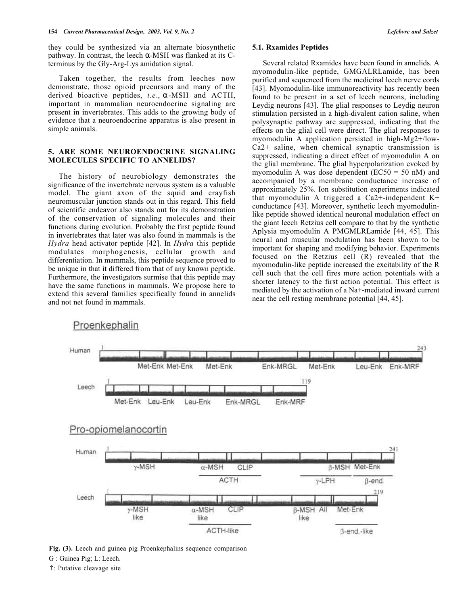they could be synthesized via an alternate biosynthetic pathway. In contrast, the leech  $\alpha$ -MSH was flanked at its Cterminus by the Gly-Arg-Lys amidation signal.

Taken together, the results from leeches now demonstrate, those opioid precursors and many of the derived bioactive peptides, *i.e*., α-MSH and ACTH, important in mammalian neuroendocrine signaling are present in invertebrates. This adds to the growing body of evidence that a neuroendocrine apparatus is also present in simple animals.

# **5. ARE SOME NEUROENDOCRINE SIGNALING MOLECULES SPECIFIC TO ANNELIDS?**

The history of neurobiology demonstrates the significance of the invertebrate nervous system as a valuable model. The giant axon of the squid and crayfish neuromuscular junction stands out in this regard. This field of scientific endeavor also stands out for its demonstration of the conservation of signaling molecules and their functions during evolution. Probably the first peptide found in invertebrates that later was also found in mammals is the *Hydra* head activator peptide [42]. In *Hydra* this peptide modulates morphogenesis, cellular growth and differentiation. In mammals, this peptide sequence proved to be unique in that it differed from that of any known peptide. Furthermore, the investigators surmise that this peptide may have the same functions in mammals. We propose here to extend this several families specifically found in annelids and not net found in mammals.

#### **5.1. Rxamides Peptides**

Several related Rxamides have been found in annelids. A myomodulin-like peptide, GMGALRLamide, has been purified and sequenced from the medicinal leech nerve cords [43]. Myomodulin-like immunoreactivity has recently been found to be present in a set of leech neurons, including Leydig neurons [43]. The glial responses to Leydig neuron stimulation persisted in a high-divalent cation saline, when polysynaptic pathway are suppressed, indicating that the effects on the glial cell were direct. The glial responses to myomodulin A application persisted in high-Mg2+/low-Ca2+ saline, when chemical synaptic transmission is suppressed, indicating a direct effect of myomodulin A on the glial membrane. The glial hyperpolarization evoked by myomodulin A was dose dependent ( $EC50 = 50$  nM) and accompanied by a membrane conductance increase of approximately 25%. Ion substitution experiments indicated that myomodulin A triggered a Ca2+-independent  $K^+$ conductance [43]. Moreover, synthetic leech myomodulinlike peptide showed identical neuronal modulation effect on the giant leech Retzius cell compare to that by the synthetic Aplysia myomodulin A PMGMLRLamide [44, 45]. This neural and muscular modulation has been shown to be important for shaping and modifying behavior. Experiments focused on the Retzius cell (R) revealed that the myomodulin-like peptide increased the excitability of the R cell such that the cell fires more action potentials with a shorter latency to the first action potential. This effect is mediated by the activation of a Na+-mediated inward current near the cell resting membrane potential [44, 45].



Proenkephalin

↑: Putative cleavage site

**Fig. (3).** Leech and guinea pig Proenkephalins sequence comparison

G : Guinea Pig; L: Leech.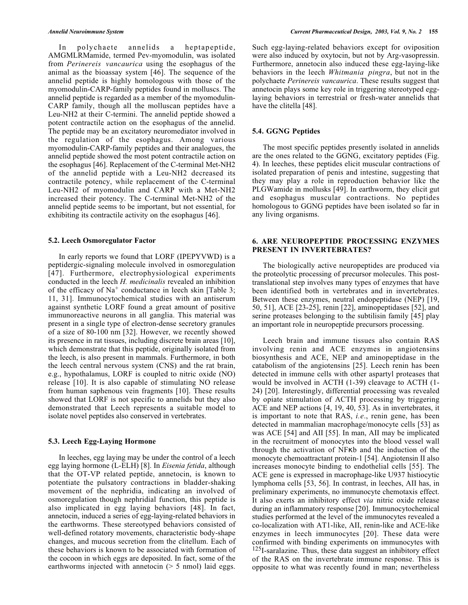In polychaete annelids a heptapeptide, AMGMLRMamide, termed Pev-myomodulin, was isolated from *Perinereis vancaurica* using the esophagus of the animal as the bioassay system [46]. The sequence of the annelid peptide is highly homologous with those of the myomodulin-CARP-family peptides found in molluscs. The annelid peptide is regarded as a member of the myomodulin-CARP family, though all the molluscan peptides have a Leu-NH2 at their C-termini. The annelid peptide showed a potent contractile action on the esophagus of the annelid. The peptide may be an excitatory neuromediator involved in the regulation of the esophagus. Among various myomodulin-CARP-family peptides and their analogues, the annelid peptide showed the most potent contractile action on the esophagus [46]. Replacement of the C-terminal Met-NH2 of the annelid peptide with a Leu-NH2 decreased its contractile potency, while replacement of the C-terminal Leu-NH2 of myomodulin and CARP with a Met-NH2 increased their potency. The C-terminal Met-NH2 of the annelid peptide seems to be important, but not essential, for exhibiting its contractile activity on the esophagus [46].

#### **5.2. Leech Osmoregulator Factor**

In early reports we found that LORF (IPEPYVWD) is a peptidergic-signaling molecule involved in osmoregulation [47]. Furthermore, electrophysiological experiments conducted in the leech *H. medicinalis* revealed an inhibition of the efficacy of  $Na<sup>+</sup>$  conductance in leech skin [Table 3; 11, 31]. Immunocytochemical studies with an antiserum against synthetic LORF found a great amount of positive immunoreactive neurons in all ganglia. This material was present in a single type of electron-dense secretory granules of a size of 80-100 nm [32]. However, we recently showed its presence in rat tissues, including discrete brain areas [10], which demonstrate that this peptide, originally isolated from the leech, is also present in mammals. Furthermore, in both the leech central nervous system (CNS) and the rat brain, e.g., hypothalamus, LORF is coupled to nitric oxide (NO) release [10]. It is also capable of stimulating NO release from human saphenous vein fragments [10]. These results showed that LORF is not specific to annelids but they also demonstrated that Leech represents a suitable model to isolate novel peptides also conserved in vertebrates.

#### **5.3. Leech Egg-Laying Hormone**

In leeches, egg laying may be under the control of a leech egg laying hormone (L-ELH) [8]. In *Eisenia fetida*, although that the OT-VP related peptide, annetocin, is known to potentiate the pulsatory contractions in bladder-shaking movement of the nephridia, indicating an involved of osmoregulation though nephridial function, this peptide is also implicated in egg laying behaviors [48]. In fact, annetocin, induced a series of egg-laying-related behaviors in the earthworms. These stereotyped behaviors consisted of well-defined rotatory movements, characteristic body-shape changes, and mucous secretion from the clitellum. Each of these behaviors is known to be associated with formation of the cocoon in which eggs are deposited. In fact, some of the earthworms injected with annetocin ( $> 5$  nmol) laid eggs.

Such egg-laying-related behaviors except for oviposition were also induced by oxytocin, but not by Arg-vasopressin. Furthermore, annetocin also induced these egg-laying-like behaviors in the leech *Whitmania pingra*, but not in the polychaete *Perinereis vancaurica*. These results suggest that annetocin plays some key role in triggering stereotyped egglaying behaviors in terrestrial or fresh-water annelids that have the clitella [48].

# **5.4. GGNG Peptides**

The most specific peptides presently isolated in annelids are the ones related to the GGNG, excitatory peptides (Fig. 4). In leeches, these peptides elicit muscular contractions of isolated preparation of penis and intestine, suggesting that they may play a role in reproduction behavior like the PLGWamide in mollusks [49]. In earthworm, they elicit gut and esophagus muscular contractions. No peptides homologous to GGNG peptides have been isolated so far in any living organisms.

# **6. ARE NEUROPEPTIDE PROCESSING ENZYMES PRESENT IN INVERTEBRATES?**

The biologically active neuropeptides are produced via the proteolytic processing of precursor molecules. This posttranslational step involves many types of enzymes that have been identified both in vertebrates and in invertebrates. Between these enzymes, neutral endopeptidase (NEP) [19, 50, 51], ACE [23-25], renin [22], aminopeptidases [52], and serine proteases belonging to the subtilisin family [45] play an important role in neuropeptide precursors processing.

Leech brain and immune tissues also contain RAS involving renin and ACE enzymes in angiotensins biosynthesis and ACE, NEP and aminopeptidase in the catabolism of the angiotensins [25]. Leech renin has been detected in immune cells with other aspartyl proteases that would be involved in ACTH (1-39) cleavage to ACTH (1- 24) [20]. Interestingly, differential processing was revealed by opiate stimulation of ACTH processing by triggering ACE and NEP actions [4, 19, 40, 53]. As in invertebrates, it is important to note that RAS, *i.e*., renin gene, has been detected in mammalian macrophage/monocyte cells [53] as was ACE [54] and AII [55]. In man, AII may be implicated in the recruitment of monocytes into the blood vessel wall through the activation of NFκb and the induction of the monocyte chemoattractant protein-1 [54]. Angiotensin II also increases monocyte binding to endothelial cells [55]. The ACE gene is expressed in macrophage-like U937 histiocytic lymphoma cells [53, 56]. In contrast, in leeches, AII has, in preliminary experiments, no immunocyte chemotaxis effect. It also exerts an inhibitory effect *via* nitric oxide release during an inflammatory response [20]. Immunocytochemical studies performed at the level of the immunocytes revealed a co-localization with AT1-like, AII, renin-like and ACE-like enzymes in leech immunocytes [20]. These data were confirmed with binding experiments on immunocytes with 125I-saralazine. Thus, these data suggest an inhibitory effect of the RAS on the invertebrate immune response. This is opposite to what was recently found in man; nevertheless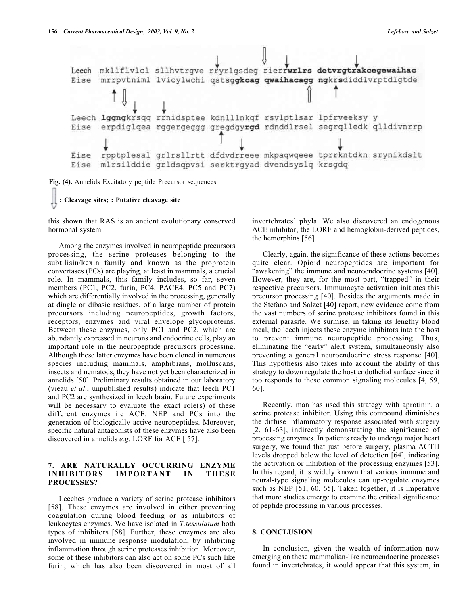

**Fig. (4).** Annelids Excitatory peptide Precursor sequences

```
: Cleavage sites; : Putative cleavage site
```
this shown that RAS is an ancient evolutionary conserved hormonal system.

Among the enzymes involved in neuropeptide precursors processing, the serine proteases belonging to the subtilisin/kexin family and known as the proprotein convertases (PCs) are playing, at least in mammals, a crucial role. In mammals, this family includes, so far, seven members (PC1, PC2, furin, PC4, PACE4, PC5 and PC7) which are differentially involved in the processing, generally at dingle or dibasic residues, of a large number of protein precursors including neuropeptides, growth factors, receptors, enzymes and viral envelope glycoproteins. Between these enzymes, only PC1 and PC2, which are abundantly expressed in neurons and endocrine cells, play an important role in the neuropeptide precursors processing. Although these latter enzymes have been cloned in numerous species including mammals, amphibians, molluscans, insects and nematods, they have not yet been characterized in annelids [50]. Preliminary results obtained in our laboratory (vieau *et al*., unpublished results) indicate that leech PC1 and PC2 are synthesized in leech brain. Future experiments will be necessary to evaluate the exact role(s) of these different enzymes i.e ACE, NEP and PCs into the generation of biologically active neuropeptides. Moreover, specific natural antagonists of these enzymes have also been discovered in annelids *e.g.* LORF for ACE [ 57].

# **7. ARE NATURALLY OCCURRING ENZYME INHIBITORS IMPORTANT IN THESE PROCESSES?**

Leeches produce a variety of serine protease inhibitors [58]. These enzymes are involved in either preventing coagulation during blood feeding or as inhibitors of leukocytes enzymes. We have isolated in *T.tessulatum* both types of inhibitors [58]. Further, these enzymes are also involved in immune response modulation, by inhibiting inflammation through serine proteases inhibition. Moreover, some of these inhibitors can also act on some PCs such like furin, which has also been discovered in most of all

invertebrates' phyla. We also discovered an endogenous ACE inhibitor, the LORF and hemoglobin-derived peptides, the hemorphins [56].

Clearly, again, the significance of these actions becomes quite clear. Opioid neuropeptides are important for "awakening" the immune and neuroendocrine systems [40]. However, they are, for the most part, "trapped" in their respective precursors. Immunocyte activation initiates this precursor processing [40]. Besides the arguments made in the Stefano and Salzet [40] report, new evidence come from the vast numbers of serine protease inhibitors found in this external parasite. We surmise, in taking its lengthy blood meal, the leech injects these enzyme inhibitors into the host to prevent immune neuropeptide processing. Thus, eliminating the "early" alert system, simultaneously also preventing a general neuroendocrine stress response [40]. This hypothesis also takes into account the ability of this strategy to down regulate the host endothelial surface since it too responds to these common signaling molecules [4, 59, 60].

Recently, man has used this strategy with aprotinin, a serine protease inhibitor. Using this compound diminishes the diffuse inflammatory response associated with surgery [2, 61-63], indirectly demonstrating the significance of processing enzymes. In patients ready to undergo major heart surgery, we found that just before surgery, plasma ACTH levels dropped below the level of detection [64], indicating the activation or inhibition of the processing enzymes [53]. In this regard, it is widely known that various immune and neural-type signaling molecules can up-regulate enzymes such as NEP [51, 60, 65]. Taken together, it is imperative that more studies emerge to examine the critical significance of peptide processing in various processes.

#### **8. CONCLUSION**

In conclusion, given the wealth of information now emerging on these mammalian-like neuroendocrine processes found in invertebrates, it would appear that this system, in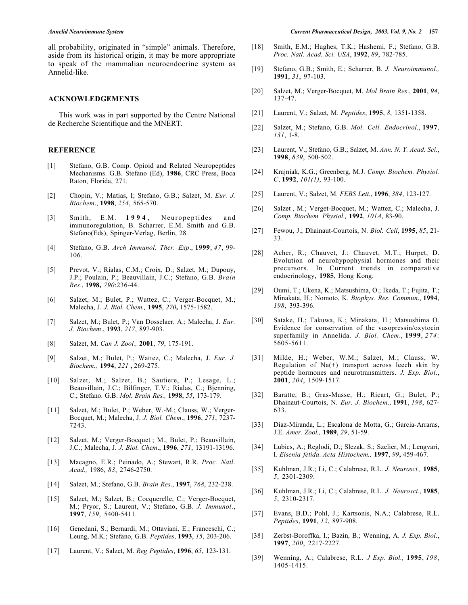all probability, originated in "simple" animals. Therefore, aside from its historical origin, it may be more appropriate to speak of the mammalian neuroendocrine system as Annelid-like.

#### **ACKNOWLEDGEMENTS**

This work was in part supported by the Centre National de Recherche Scientifique and the MNERT.

#### **REFERENCE**

- [1] Stefano, G.B. Comp. Opioid and Related Neuropeptides Mechanisms. G.B. Stefano (Ed), **1986**, CRC Press, Boca Raton, Florida, 271.
- [2] Chopin, V.; Matias, I; Stefano, G.B.; Salzet, M. *Eur. J. Biochem*., **1998**, *254*, 565-570.
- [3] Smith, E.M. **1994** , Neuropeptides and immunoregulation, B. Scharrer, E.M. Smith and G.B. Stefano(Eds), Spinger-Verlag, Berlin, 28.
- [4] Stefano, G.B. *Arch Immunol. Ther. Exp*., **1999**, *47*, 99- 106.
- [5] Prevot, V.; Rialas, C.M.; Croix, D.; Salzet, M.; Dupouy, J.P.; Poulain, P.; Beauvillain, J.C.; Stefano, G.B. *Brain Res*., **1998,** *790*:236-44.
- [6] Salzet, M.; Bulet, P.; Wattez, C.; Verger-Bocquet, M.; Malecha, J. *J. Biol. Chem.,* **1995**, *270***,** 1575-1582.
- [7] Salzet, M.; Bulet, P.; Van Dosselaer, A.; Malecha, J. *Eur. J. Biochem*., **1993**, *217*, 897-903.
- [8] Salzet, M. *Can J. Zool.,* **2001**, *79*, 175-191.
- [9] Salzet, M.; Bulet, P.; Wattez, C.; Malecha, J. *Eur. J. Biochem.,* **1994**, *221* **,** 269-275.
- [10] Salzet, M.; Salzet, B.; Sautiere, P.; Lesage, L.; Beauvillain, J.C.; Bilfinger, T.V.; Rialas, C.; Bjenning, C.; Stefano. G.B. *Mol. Brain Res.,* **1998**, *55*, 173-179.
- [11] Salzet, M.; Bulet, P.; Weber, W.-M.; Clauss, W.; Verger-Bocquet, M.; Malecha, J. *J. Biol. Chem*., **1996**, *271*, 7237- 7243.
- [12] Salzet, M.; Verger-Bocquet ; M., Bulet, P.; Beauvillain, J.C.; Malecha, J. *J. Biol. Chem*., **1996**, *271*, 13191-13196.
- [13] Macagno, E.R.; Peinado, A.; Stewart, R.R. *Proc. Natl*. *Acad.,* 1986, *83*, 2746-2750.
- [14] Salzet, M.; Stefano, G.B. *Brain Res*., **1997**, *768*, 232-238.
- [15] Salzet, M.; Salzet, B.; Cocquerelle, C.; Verger-Bocquet, M.; Pryor, S.; Laurent, V.; Stefano, G.B. *J. Immunol*., **1997**, *159*, 5400-5411.
- [16] Genedani, S.; Bernardi, M.; Ottaviani, E.; Franceschi, C.; Leung, M.K.; Stefano, G.B. *Peptides*, **1993**, *15*, 203-206.
- [17] Laurent, V.; Salzet, M. *Reg Peptides*, **1996**, *65*, 123-131.
- [18] Smith, E.M.; Hughes, T.K.; Hashemi, F.; Stefano, G.B. *Proc. Natl. Acad. Sci. USA*, **1992**, *89*, 782-785.
- [19] Stefano, G.B.; Smith, E.; Scharrer, B. *J. Neuroimmunol.,* **1991**, *31*, 97-103.
- [20] Salzet, M.; Verger-Bocquet, M. *Mol Brain Res*., **2001**, *94*, 137-47.
- [21] Laurent, V.; Salzet, M. *Peptides*, **1995**, *8*, 1351-1358.
- [22] Salzet, M.; Stefano, G.B. *Mol. Cell. Endocrinol*., **1997**, *131*, 1-8.
- [23] Laurent, V.; Stefano, G.B.; Salzet, M. *Ann. N. Y. Acad. Sci.*, **1998**, *839*, 500-502.
- [24] Krajniak, K.G.; Greenberg, M.J. *Comp. Biochem. Physiol. C*, **1992**, *101(1)*, 93-100.
- [25] Laurent, V.; Salzet, M. *FEBS Lett.*, **1996**, *384*, 123-127.
- [26] Salzet , M.; Verget-Bocquet, M.; Wattez, C.; Malecha, J. *Comp. Biochem. Physiol.,* **1992**, *101A*, 83-90.
- [27] Fewou, J.; Dhainaut-Courtois, N. *Biol. Cell*, **1995**, *85*, 21- 33.
- [28] Acher, R.; Chauvet, J.; Chauvet, M.T.; Hurpet, D. Evolution of neurohypophysial hormones and their precursors. In Current trends in comparative endocrinology, **1985**, Hong Kong.
- [29] Oumi, T.; Ukena, K.; Matsushima, O.; Ikeda, T.; Fujita, T.; Minakata, H.; Nomoto, K. *Biophys. Res. Commun*., **1994**, *198*, 393-396.
- [30] Satake, H.; Takuwa, K.; Minakata, H.; Matsushima O. Evidence for conservation of the vasopressin/oxytocin superfamily in Annelida. *J. Biol. Chem*., **1999**, *274*: 5605-5611.
- [31] Milde, H.; Weber, W.M.; Salzet, M.; Clauss, W. Regulation of  $Na(+)$  transport across leech skin by peptide hormones and neurotransmitters. *J. Exp. Biol*., **2001**, *204*, 1509-1517.
- [32] Baratte, B.; Gras-Masse, H.; Ricart, G.; Bulet, P.; Dhainaut-Courtois, N. *Eur. J. Biochem*., **1991**, *198*, 627- 633.
- [33] Diaz-Miranda, L.; Escalona de Motta, G.; Garcia-Arraras, J.E. *Amer. Zool.,* **1989**, *29*, 51-59.
- [34] Lubics, A.; Reglodi, D.; Slezak, S.; Szelier, M.; Lengvari, I. *Eisenia fetida*. *Acta Histochem.,* **1997**, *99***,** 459-467.
- [35] Kuhlman, J.R.; Li, C.; Calabrese, R.L. *J. Neurosci.,* **1985**, *5*, 2301-2309.
- [36] Kuhlman, J.R.; Li, C.; Calabrese, R.L. *J. Neurosci*., **1985**, *5*, 2310-2317.
- [37] Evans, B.D.; Pohl, J.; Kartsonis, N.A.; Calabrese, R.L. *Peptides*, **1991**, *12*, 897-908.
- [38] Zerbst-Boroffka, I.; Bazin, B.; Wenning, A. *J. Exp. Biol*., **1997**, *200*, 2217-2227.
- [39] Wenning, A.; Calabrese, R.L. *J Exp. Biol.,* **1995**, *198*, 1405-1415.